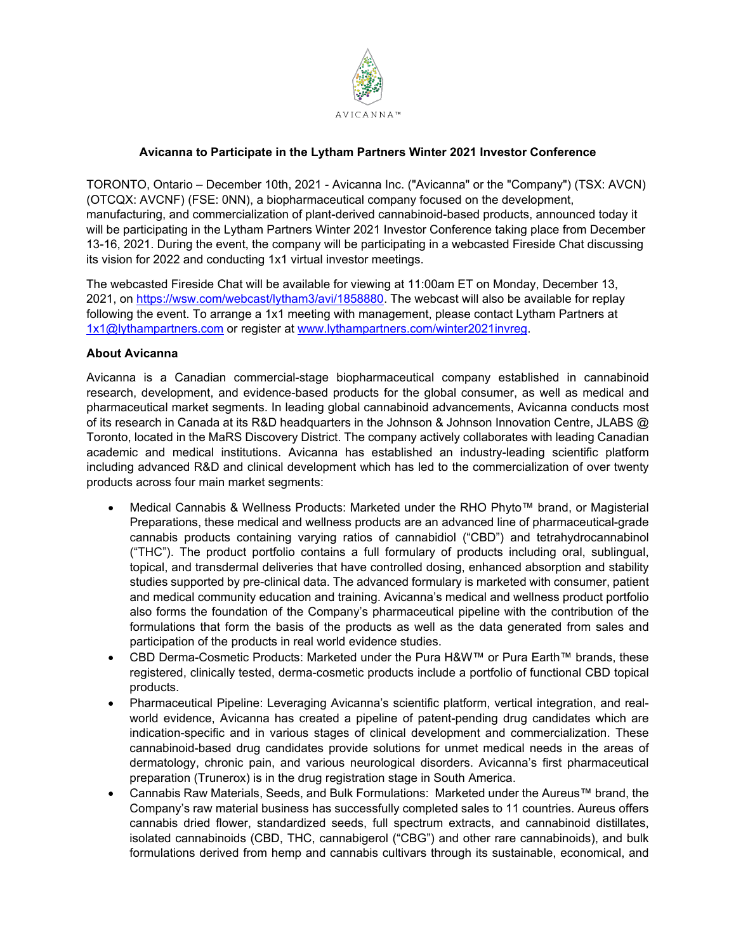

## **Avicanna to Participate in the Lytham Partners Winter 2021 Investor Conference**

TORONTO, Ontario – December 10th, 2021 - Avicanna Inc. ("Avicanna" or the "Company") (TSX: AVCN) (OTCQX: AVCNF) (FSE: 0NN), a biopharmaceutical company focused on the development, manufacturing, and commercialization of plant-derived cannabinoid-based products, announced today it will be participating in the Lytham Partners Winter 2021 Investor Conference taking place from December 13-16, 2021. During the event, the company will be participating in a webcasted Fireside Chat discussing its vision for 2022 and conducting 1x1 virtual investor meetings.

The webcasted Fireside Chat will be available for viewing at 11:00am ET on Monday, December 13, 2021, on [https://wsw.com/webcast/lytham3/avi/1858880.](https://wsw.com/webcast/lytham3/avi/1858880) The webcast will also be available for replay following the event. To arrange a 1x1 meeting with management, please contact Lytham Partners at [1x1@lythampartners.com](mailto:1x1@lythampartners.com) or register at [www.lythampartners.com/winter2021invreg.](http://www.lythampartners.com/winter2021invreg)

## **About Avicanna**

Avicanna is a Canadian commercial-stage biopharmaceutical company established in cannabinoid research, development, and evidence-based products for the global consumer, as well as medical and pharmaceutical market segments. In leading global cannabinoid advancements, Avicanna conducts most of its research in Canada at its R&D headquarters in the Johnson & Johnson Innovation Centre, JLABS @ Toronto, located in the MaRS Discovery District. The company actively collaborates with leading Canadian academic and medical institutions. Avicanna has established an industry-leading scientific platform including advanced R&D and clinical development which has led to the commercialization of over twenty products across four main market segments:

- Medical Cannabis & Wellness Products: Marketed under the RHO Phyto™ brand, or Magisterial Preparations, these medical and wellness products are an advanced line of pharmaceutical-grade cannabis products containing varying ratios of cannabidiol ("CBD") and tetrahydrocannabinol ("THC"). The product portfolio contains a full formulary of products including oral, sublingual, topical, and transdermal deliveries that have controlled dosing, enhanced absorption and stability studies supported by pre-clinical data. The advanced formulary is marketed with consumer, patient and medical community education and training. Avicanna's medical and wellness product portfolio also forms the foundation of the Company's pharmaceutical pipeline with the contribution of the formulations that form the basis of the products as well as the data generated from sales and participation of the products in real world evidence studies.
- CBD Derma-Cosmetic Products: Marketed under the Pura H&W™ or Pura Earth™ brands, these registered, clinically tested, derma-cosmetic products include a portfolio of functional CBD topical products.
- Pharmaceutical Pipeline: Leveraging Avicanna's scientific platform, vertical integration, and realworld evidence, Avicanna has created a pipeline of patent-pending drug candidates which are indication-specific and in various stages of clinical development and commercialization. These cannabinoid-based drug candidates provide solutions for unmet medical needs in the areas of dermatology, chronic pain, and various neurological disorders. Avicanna's first pharmaceutical preparation (Trunerox) is in the drug registration stage in South America.
- Cannabis Raw Materials, Seeds, and Bulk Formulations: Marketed under the Aureus™ brand, the Company's raw material business has successfully completed sales to 11 countries. Aureus offers cannabis dried flower, standardized seeds, full spectrum extracts, and cannabinoid distillates, isolated cannabinoids (CBD, THC, cannabigerol ("CBG") and other rare cannabinoids), and bulk formulations derived from hemp and cannabis cultivars through its sustainable, economical, and